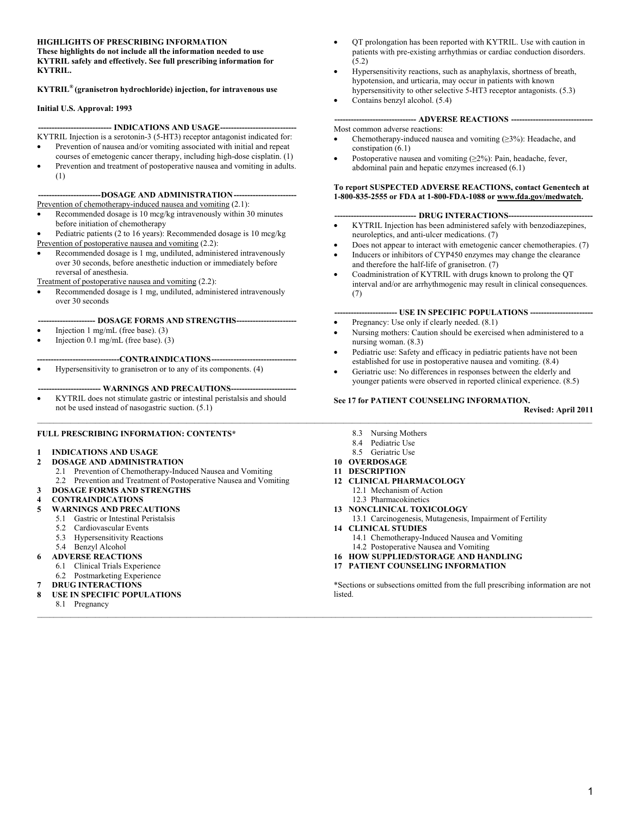#### **HIGHLIGHTS OF PRESCRIBING INFORMATION**

**These highlights do not include all the information needed to use KYTRIL safely and effectively. See full prescribing information for KYTRIL.** 

**KYTRIL® (granisetron hydrochloride) injection, for intravenous use** 

#### **Initial U.S. Approval: 1993**

#### **--------------------------- INDICATIONS AND USAGE----------------------------**

- KYTRIL Injection is a serotonin-3 (5-HT3) receptor antagonist indicated for: • Prevention of nausea and/or vomiting associated with initial and repeat
- courses of emetogenic cancer therapy, including high-dose cisplatin. (1) Prevention and treatment of postoperative nausea and vomiting in adults.
	- (1)

#### **-----------------------DOSAGE AND ADMINISTRATION -----------------------**

- Prevention of chemotherapy-induced nausea and vomiting (2.1):
- Recommended dosage is 10 mcg/kg intravenously within 30 minutes before initiation of chemotherapy
- Pediatric patients (2 to 16 years): Recommended dosage is 10 mcg/kg Prevention of postoperative nausea and vomiting (2.2):
- Recommended dosage is 1 mg, undiluted, administered intravenously over 30 seconds, before anesthetic induction or immediately before reversal of anesthesia.

#### Treatment of postoperative nausea and vomiting (2.2):

• Recommended dosage is 1 mg, undiluted, administered intravenously over 30 seconds

#### **--------------------- DOSAGE FORMS AND STRENGTHS----------------------**

- Injection  $1 \text{ mg/mL}$  (free base). (3)
- Injection 0.1 mg/mL (free base). (3)

#### **------------------------------CONTRAINDICATIONS-------------------------------**

• Hypersensitivity to granisetron or to any of its components. (4)

#### --- WARNINGS AND PRECAUTIONS-----

• KYTRIL does not stimulate gastric or intestinal peristalsis and should not be used instead of nasogastric suction. (5.1)

#### **FULL PRESCRIBING INFORMATION: CONTENTS\***

#### **1 INDICATIONS AND USAGE**

#### **2 DOSAGE AND ADMINISTRATION**

- 2.1 Prevention of Chemotherapy-Induced Nausea and Vomiting
- 2.2 Prevention and Treatment of Postoperative Nausea and Vomiting
- **3 DOSAGE FORMS AND STRENGTHS**

#### **4 CONTRAINDICATIONS**

- **5 WARNINGS AND PRECAUTIONS**
	- 5.1 Gastric or Intestinal Peristalsis
	- 5.2 Cardiovascular Events
	- 5.3 Hypersensitivity Reactions
	- 5.4 Benzyl Alcohol
	- **6 ADVERSE REACTIONS**
		- 6.1 Clinical Trials Experience
	- 6.2 Postmarketing Experience
- **7 DRUG INTERACTIONS**
- **8 USE IN SPECIFIC POPULATIONS**
- 8.1 Pregnancy  $\_$  , and the state of the state of the state of the state of the state of the state of the state of the state of the state of the state of the state of the state of the state of the state of the state of the state of the
- QT prolongation has been reported with KYTRIL. Use with caution in patients with pre-existing arrhythmias or cardiac conduction disorders. (5.2)
- Hypersensitivity reactions, such as anaphylaxis, shortness of breath, hypotension, and urticaria, may occur in patients with known hypersensitivity to other selective 5-HT3 receptor antagonists. (5.3)
- Contains benzyl alcohol. (5.4)

#### **------------------------------ ADVERSE REACTIONS ------------------------------**  Most common adverse reactions:

- Chemotherapy-induced nausea and vomiting  $(\geq 3\%)$ : Headache, and constipation (6.1)
- Postoperative nausea and vomiting  $(\geq 2\%)$ : Pain, headache, fever, abdominal pain and hepatic enzymes increased (6.1)

#### **To report SUSPECTED ADVERSE REACTIONS, contact Genentech at 1-800-835-2555 or FDA at 1-800-FDA-1088 or www.fda.gov/medwatch.**

#### ---- DRUG INTERACTIONS-----

- KYTRIL Injection has been administered safely with benzodiazepines, neuroleptics, and anti-ulcer medications. (7)
- Does not appear to interact with emetogenic cancer chemotherapies. (7)
- Inducers or inhibitors of CYP450 enzymes may change the clearance and therefore the half-life of granisetron. (7)
- Coadministration of KYTRIL with drugs known to prolong the QT interval and/or are arrhythmogenic may result in clinical consequences. (7)

#### **----------------------- USE IN SPECIFIC POPULATIONS -----------------------**

- Pregnancy: Use only if clearly needed.  $(8.1)$
- Nursing mothers: Caution should be exercised when administered to a nursing woman. (8.3)
- Pediatric use: Safety and efficacy in pediatric patients have not been established for use in postoperative nausea and vomiting. (8.4)
- Geriatric use: No differences in responses between the elderly and younger patients were observed in reported clinical experience. (8.5)

#### **See 17 for PATIENT COUNSELING INFORMATION.**

**Revised: April 2011** 

- 8.3 Nursing Mothers
- 8.4 Pediatric Use
- 8.5 Geriatric Use
- **10 OVERDOSAGE**

 $\_$  , and the state of the state of the state of the state of the state of the state of the state of the state of the state of the state of the state of the state of the state of the state of the state of the state of the

- **11 DESCRIPTION**
- **12 CLINICAL PHARMACOLOGY**
	- 12.1 Mechanism of Action
	- 12.3 Pharmacokinetics
- **13 NONCLINICAL TOXICOLOGY**
- 13.1 Carcinogenesis, Mutagenesis, Impairment of Fertility **14 CLINICAL STUDIES**
- 14.1 Chemotherapy-Induced Nausea and Vomiting
- 14.2 Postoperative Nausea and Vomiting
- **16 HOW SUPPLIED/STORAGE AND HANDLING**
- **17 PATIENT COUNSELING INFORMATION**

\*Sections or subsections omitted from the full prescribing information are not listed.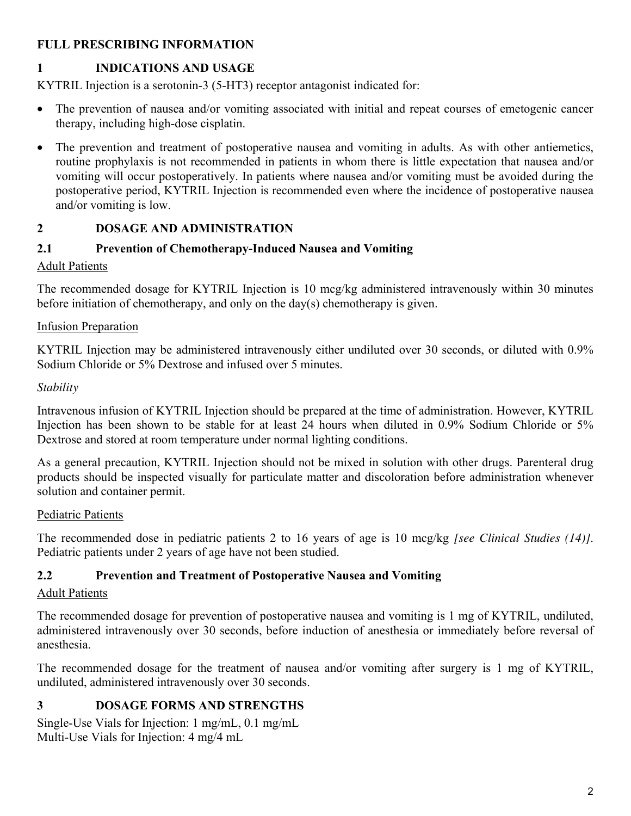## **FULL PRESCRIBING INFORMATION**

# **1 INDICATIONS AND USAGE**

KYTRIL Injection is a serotonin-3 (5-HT3) receptor antagonist indicated for:

- The prevention of nausea and/or vomiting associated with initial and repeat courses of emetogenic cancer therapy, including high-dose cisplatin.
- The prevention and treatment of postoperative nausea and vomiting in adults. As with other antiemetics, routine prophylaxis is not recommended in patients in whom there is little expectation that nausea and/or vomiting will occur postoperatively. In patients where nausea and/or vomiting must be avoided during the postoperative period, KYTRIL Injection is recommended even where the incidence of postoperative nausea and/or vomiting is low.

# **2 DOSAGE AND ADMINISTRATION**

# **2.1 Prevention of Chemotherapy-Induced Nausea and Vomiting**

# Adult Patients

The recommended dosage for KYTRIL Injection is 10 mcg/kg administered intravenously within 30 minutes before initiation of chemotherapy, and only on the day(s) chemotherapy is given.

## Infusion Preparation

KYTRIL Injection may be administered intravenously either undiluted over 30 seconds, or diluted with 0.9% Sodium Chloride or 5% Dextrose and infused over 5 minutes.

## *Stability*

Intravenous infusion of KYTRIL Injection should be prepared at the time of administration. However, KYTRIL Injection has been shown to be stable for at least 24 hours when diluted in 0.9% Sodium Chloride or 5% Dextrose and stored at room temperature under normal lighting conditions.

As a general precaution, KYTRIL Injection should not be mixed in solution with other drugs. Parenteral drug products should be inspected visually for particulate matter and discoloration before administration whenever solution and container permit.

### Pediatric Patients

The recommended dose in pediatric patients 2 to 16 years of age is 10 mcg/kg *[see Clinical Studies (14)]*. Pediatric patients under 2 years of age have not been studied.

## **2.2 Prevention and Treatment of Postoperative Nausea and Vomiting**

## Adult Patients

The recommended dosage for prevention of postoperative nausea and vomiting is 1 mg of KYTRIL, undiluted, administered intravenously over 30 seconds, before induction of anesthesia or immediately before reversal of anesthesia.

The recommended dosage for the treatment of nausea and/or vomiting after surgery is 1 mg of KYTRIL, undiluted, administered intravenously over 30 seconds.

# **3 DOSAGE FORMS AND STRENGTHS**

Single-Use Vials for Injection: 1 mg/mL, 0.1 mg/mL Multi-Use Vials for Injection: 4 mg/4 mL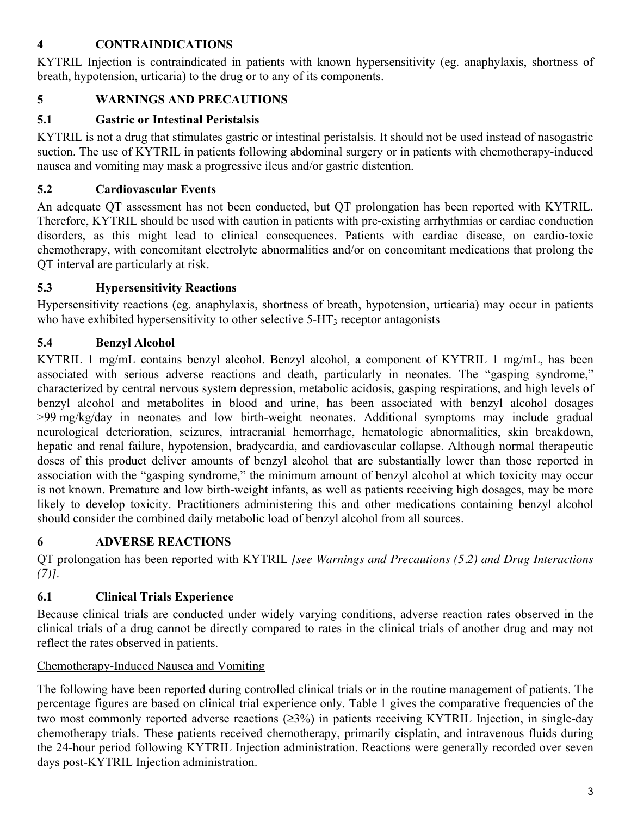## **4 CONTRAINDICATIONS**

KYTRIL Injection is contraindicated in patients with known hypersensitivity (eg. anaphylaxis, shortness of breath, hypotension, urticaria) to the drug or to any of its components.

## **5 WARNINGS AND PRECAUTIONS**

## **5.1 Gastric or Intestinal Peristalsis**

KYTRIL is not a drug that stimulates gastric or intestinal peristalsis. It should not be used instead of nasogastric suction. The use of KYTRIL in patients following abdominal surgery or in patients with chemotherapy-induced nausea and vomiting may mask a progressive ileus and/or gastric distention.

## **5.2 Cardiovascular Events**

An adequate QT assessment has not been conducted, but QT prolongation has been reported with KYTRIL. Therefore, KYTRIL should be used with caution in patients with pre-existing arrhythmias or cardiac conduction disorders, as this might lead to clinical consequences. Patients with cardiac disease, on cardio-toxic chemotherapy, with concomitant electrolyte abnormalities and/or on concomitant medications that prolong the QT interval are particularly at risk.

## **5.3 Hypersensitivity Reactions**

Hypersensitivity reactions (eg. anaphylaxis, shortness of breath, hypotension, urticaria) may occur in patients who have exhibited hypersensitivity to other selective  $5-HT<sub>3</sub>$  receptor antagonists

## **5.4 Benzyl Alcohol**

KYTRIL 1 mg/mL contains benzyl alcohol. Benzyl alcohol, a component of KYTRIL 1 mg/mL, has been associated with serious adverse reactions and death, particularly in neonates. The "gasping syndrome," characterized by central nervous system depression, metabolic acidosis, gasping respirations, and high levels of benzyl alcohol and metabolites in blood and urine, has been associated with benzyl alcohol dosages >99 mg/kg/day in neonates and low birth-weight neonates. Additional symptoms may include gradual neurological deterioration, seizures, intracranial hemorrhage, hematologic abnormalities, skin breakdown, hepatic and renal failure, hypotension, bradycardia, and cardiovascular collapse. Although normal therapeutic doses of this product deliver amounts of benzyl alcohol that are substantially lower than those reported in association with the "gasping syndrome," the minimum amount of benzyl alcohol at which toxicity may occur is not known. Premature and low birth-weight infants, as well as patients receiving high dosages, may be more likely to develop toxicity. Practitioners administering this and other medications containing benzyl alcohol should consider the combined daily metabolic load of benzyl alcohol from all sources.

## **6 ADVERSE REACTIONS**

QT prolongation has been reported with KYTRIL *[see Warnings and Precautions (5.2) and Drug Interactions (7)]*.

# **6.1 Clinical Trials Experience**

Because clinical trials are conducted under widely varying conditions, adverse reaction rates observed in the clinical trials of a drug cannot be directly compared to rates in the clinical trials of another drug and may not reflect the rates observed in patients.

## Chemotherapy-Induced Nausea and Vomiting

The following have been reported during controlled clinical trials or in the routine management of patients. The percentage figures are based on clinical trial experience only. Table 1 gives the comparative frequencies of the two most commonly reported adverse reactions (≥3%) in patients receiving KYTRIL Injection, in single-day chemotherapy trials. These patients received chemotherapy, primarily cisplatin, and intravenous fluids during the 24-hour period following KYTRIL Injection administration. Reactions were generally recorded over seven days post-KYTRIL Injection administration.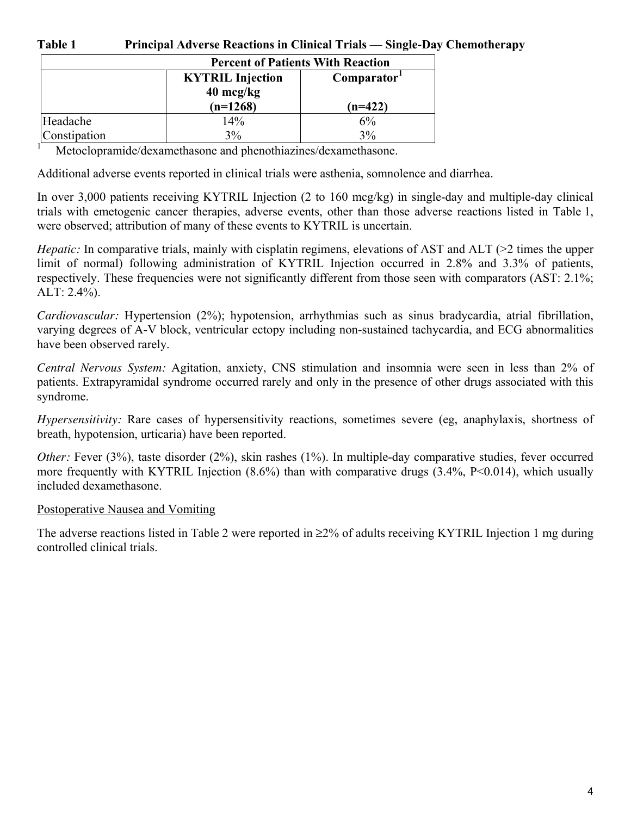#### **Table 1 Principal Adverse Reactions in Clinical Trials — Single-Day Chemotherapy**

|              | <b>Percent of Patients With Reaction</b>       |                         |  |  |  |
|--------------|------------------------------------------------|-------------------------|--|--|--|
|              | <b>KYTRIL Injection</b><br>$40 \text{ mcg/kg}$ | Comparator <sup>1</sup> |  |  |  |
|              | $(n=1268)$                                     | $(n=422)$               |  |  |  |
| Headache     | 14%                                            | 6%                      |  |  |  |
| Constipation | 3%                                             | 3%                      |  |  |  |

<sup>1</sup> Metoclopramide/dexamethasone and phenothiazines/dexamethasone.

Additional adverse events reported in clinical trials were asthenia, somnolence and diarrhea.

In over 3,000 patients receiving KYTRIL Injection (2 to 160 mcg/kg) in single-day and multiple-day clinical trials with emetogenic cancer therapies, adverse events, other than those adverse reactions listed in Table 1, were observed; attribution of many of these events to KYTRIL is uncertain.

*Hepatic:* In comparative trials, mainly with cisplatin regimens, elevations of AST and ALT (>2 times the upper limit of normal) following administration of KYTRIL Injection occurred in 2.8% and 3.3% of patients, respectively. These frequencies were not significantly different from those seen with comparators (AST: 2.1%; ALT: 2.4%).

*Cardiovascular:* Hypertension (2%); hypotension, arrhythmias such as sinus bradycardia, atrial fibrillation, varying degrees of A-V block, ventricular ectopy including non-sustained tachycardia, and ECG abnormalities have been observed rarely.

*Central Nervous System:* Agitation, anxiety, CNS stimulation and insomnia were seen in less than 2% of patients. Extrapyramidal syndrome occurred rarely and only in the presence of other drugs associated with this syndrome.

*Hypersensitivity:* Rare cases of hypersensitivity reactions, sometimes severe (eg, anaphylaxis, shortness of breath, hypotension, urticaria) have been reported.

*Other:* Fever (3%), taste disorder (2%), skin rashes (1%). In multiple-day comparative studies, fever occurred more frequently with KYTRIL Injection (8.6%) than with comparative drugs (3.4%, P<0.014), which usually included dexamethasone.

#### Postoperative Nausea and Vomiting

The adverse reactions listed in Table 2 were reported in ≥2% of adults receiving KYTRIL Injection 1 mg during controlled clinical trials.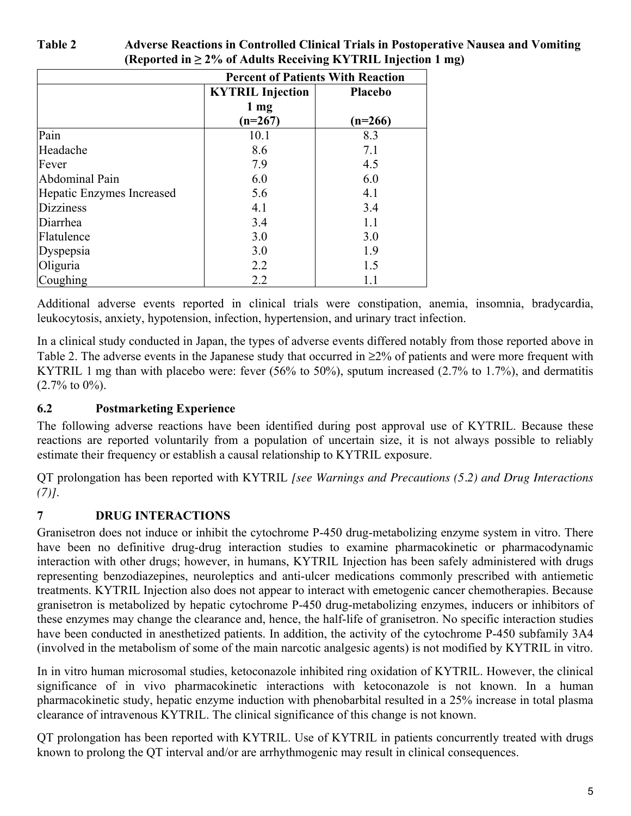| <b>Percent of Patients With Reaction</b> |                         |                |  |  |
|------------------------------------------|-------------------------|----------------|--|--|
|                                          | <b>KYTRIL Injection</b> | <b>Placebo</b> |  |  |
|                                          | $1 \text{ mg}$          |                |  |  |
|                                          | $(n=267)$               | $(n=266)$      |  |  |
| Pain                                     | 10.1                    | 8.3            |  |  |
| Headache                                 | 8.6                     | 7.1            |  |  |
| Fever                                    | 7.9                     | 4.5            |  |  |
| Abdominal Pain                           | 6.0                     | 6.0            |  |  |
| Hepatic Enzymes Increased                | 5.6                     | 4.1            |  |  |
| <b>Dizziness</b>                         | 4.1                     | 3.4            |  |  |
| Diarrhea                                 | 3.4                     | 1.1            |  |  |
| Flatulence                               | 3.0                     | 3.0            |  |  |
| Dyspepsia                                | 3.0                     | 1.9            |  |  |
| Oliguria                                 | 2.2                     | 1.5            |  |  |
| Coughing                                 | 2.2                     | 1.1            |  |  |

Additional adverse events reported in clinical trials were constipation, anemia, insomnia, bradycardia, leukocytosis, anxiety, hypotension, infection, hypertension, and urinary tract infection.

In a clinical study conducted in Japan, the types of adverse events differed notably from those reported above in Table 2. The adverse events in the Japanese study that occurred in ≥2% of patients and were more frequent with KYTRIL 1 mg than with placebo were: fever (56% to 50%), sputum increased (2.7% to 1.7%), and dermatitis  $(2.7\% \text{ to } 0\%)$ .

## **6.2 Postmarketing Experience**

The following adverse reactions have been identified during post approval use of KYTRIL. Because these reactions are reported voluntarily from a population of uncertain size, it is not always possible to reliably estimate their frequency or establish a causal relationship to KYTRIL exposure.

QT prolongation has been reported with KYTRIL *[see Warnings and Precautions (5.2) and Drug Interactions (7)]*.

# **7 DRUG INTERACTIONS**

Granisetron does not induce or inhibit the cytochrome P-450 drug-metabolizing enzyme system in vitro. There have been no definitive drug-drug interaction studies to examine pharmacokinetic or pharmacodynamic interaction with other drugs; however, in humans, KYTRIL Injection has been safely administered with drugs representing benzodiazepines, neuroleptics and anti-ulcer medications commonly prescribed with antiemetic treatments. KYTRIL Injection also does not appear to interact with emetogenic cancer chemotherapies. Because granisetron is metabolized by hepatic cytochrome P-450 drug-metabolizing enzymes, inducers or inhibitors of these enzymes may change the clearance and, hence, the half-life of granisetron. No specific interaction studies have been conducted in anesthetized patients. In addition, the activity of the cytochrome P-450 subfamily 3A4 (involved in the metabolism of some of the main narcotic analgesic agents) is not modified by KYTRIL in vitro.

In in vitro human microsomal studies, ketoconazole inhibited ring oxidation of KYTRIL. However, the clinical significance of in vivo pharmacokinetic interactions with ketoconazole is not known. In a human pharmacokinetic study, hepatic enzyme induction with phenobarbital resulted in a 25% increase in total plasma clearance of intravenous KYTRIL. The clinical significance of this change is not known.

QT prolongation has been reported with KYTRIL. Use of KYTRIL in patients concurrently treated with drugs known to prolong the QT interval and/or are arrhythmogenic may result in clinical consequences.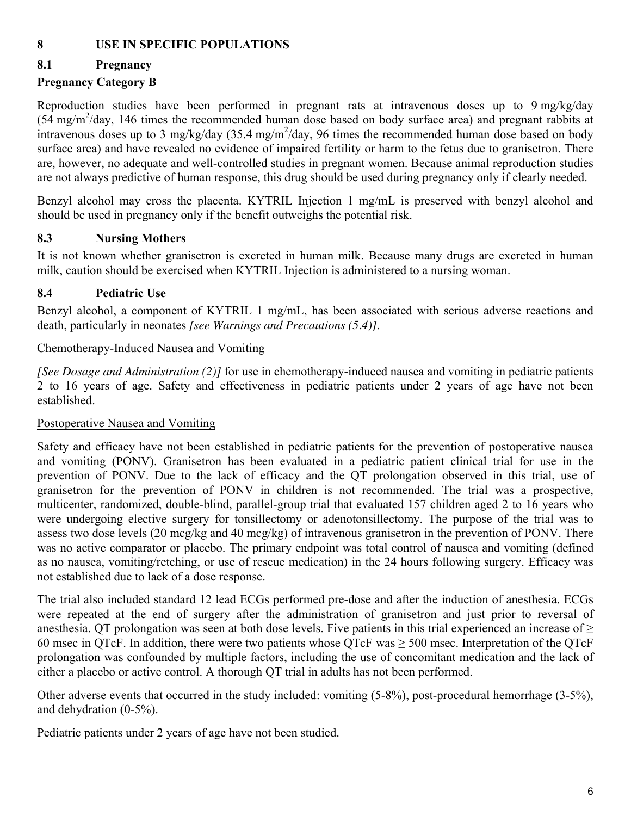## **8 USE IN SPECIFIC POPULATIONS**

## **8.1 Pregnancy**

## **Pregnancy Category B**

Reproduction studies have been performed in pregnant rats at intravenous doses up to 9 mg/kg/day (54 mg/m2 /day, 146 times the recommended human dose based on body surface area) and pregnant rabbits at intravenous doses up to 3 mg/kg/day  $(35.4 \text{ mg/m}^2/\text{day})$ , 96 times the recommended human dose based on body surface area) and have revealed no evidence of impaired fertility or harm to the fetus due to granisetron. There are, however, no adequate and well-controlled studies in pregnant women. Because animal reproduction studies are not always predictive of human response, this drug should be used during pregnancy only if clearly needed.

Benzyl alcohol may cross the placenta. KYTRIL Injection 1 mg/mL is preserved with benzyl alcohol and should be used in pregnancy only if the benefit outweighs the potential risk.

### **8.3 Nursing Mothers**

It is not known whether granisetron is excreted in human milk. Because many drugs are excreted in human milk, caution should be exercised when KYTRIL Injection is administered to a nursing woman.

## **8.4 Pediatric Use**

Benzyl alcohol, a component of KYTRIL 1 mg/mL, has been associated with serious adverse reactions and death, particularly in neonates *[see Warnings and Precautions (5.4)]*.

### Chemotherapy-Induced Nausea and Vomiting

*[See Dosage and Administration (2)]* for use in chemotherapy-induced nausea and vomiting in pediatric patients 2 to 16 years of age. Safety and effectiveness in pediatric patients under 2 years of age have not been established.

### Postoperative Nausea and Vomiting

Safety and efficacy have not been established in pediatric patients for the prevention of postoperative nausea and vomiting (PONV). Granisetron has been evaluated in a pediatric patient clinical trial for use in the prevention of PONV. Due to the lack of efficacy and the QT prolongation observed in this trial, use of granisetron for the prevention of PONV in children is not recommended. The trial was a prospective, multicenter, randomized, double-blind, parallel-group trial that evaluated 157 children aged 2 to 16 years who were undergoing elective surgery for tonsillectomy or adenotonsillectomy. The purpose of the trial was to assess two dose levels (20 mcg/kg and 40 mcg/kg) of intravenous granisetron in the prevention of PONV. There was no active comparator or placebo. The primary endpoint was total control of nausea and vomiting (defined as no nausea, vomiting/retching, or use of rescue medication) in the 24 hours following surgery. Efficacy was not established due to lack of a dose response.

The trial also included standard 12 lead ECGs performed pre-dose and after the induction of anesthesia. ECGs were repeated at the end of surgery after the administration of granisetron and just prior to reversal of anesthesia. QT prolongation was seen at both dose levels. Five patients in this trial experienced an increase of  $\geq$ 60 msec in OTcF. In addition, there were two patients whose OTcF was  $> 500$  msec. Interpretation of the OTcF prolongation was confounded by multiple factors, including the use of concomitant medication and the lack of either a placebo or active control. A thorough QT trial in adults has not been performed.

Other adverse events that occurred in the study included: vomiting (5-8%), post-procedural hemorrhage (3-5%), and dehydration (0-5%).

Pediatric patients under 2 years of age have not been studied.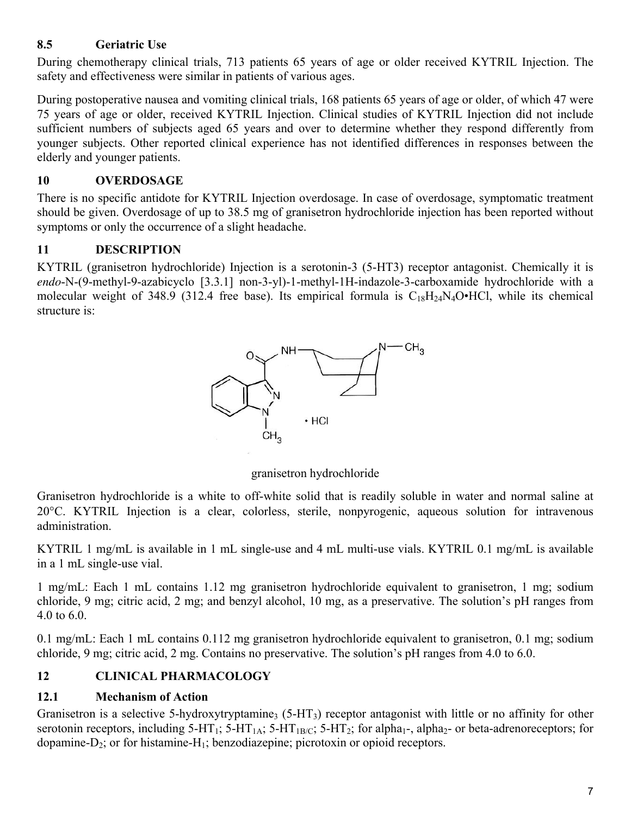## **8.5 Geriatric Use**

During chemotherapy clinical trials, 713 patients 65 years of age or older received KYTRIL Injection. The safety and effectiveness were similar in patients of various ages.

During postoperative nausea and vomiting clinical trials, 168 patients 65 years of age or older, of which 47 were 75 years of age or older, received KYTRIL Injection. Clinical studies of KYTRIL Injection did not include sufficient numbers of subjects aged 65 years and over to determine whether they respond differently from younger subjects. Other reported clinical experience has not identified differences in responses between the elderly and younger patients.

## **10 OVERDOSAGE**

There is no specific antidote for KYTRIL Injection overdosage. In case of overdosage, symptomatic treatment should be given. Overdosage of up to 38.5 mg of granisetron hydrochloride injection has been reported without symptoms or only the occurrence of a slight headache.

## **11 DESCRIPTION**

KYTRIL (granisetron hydrochloride) Injection is a serotonin-3 (5-HT3) receptor antagonist. Chemically it is *endo*-N-(9-methyl-9-azabicyclo [3.3.1] non-3-yl)-1-methyl-1H-indazole-3-carboxamide hydrochloride with a molecular weight of 348.9 (312.4 free base). Its empirical formula is  $C_{18}H_{24}N_4O\text{-HCl}$ , while its chemical structure is:



granisetron hydrochloride

Granisetron hydrochloride is a white to off-white solid that is readily soluble in water and normal saline at 20°C. KYTRIL Injection is a clear, colorless, sterile, nonpyrogenic, aqueous solution for intravenous administration.

KYTRIL 1 mg/mL is available in 1 mL single-use and 4 mL multi-use vials. KYTRIL 0.1 mg/mL is available in a 1 mL single-use vial.

1 mg/mL: Each 1 mL contains 1.12 mg granisetron hydrochloride equivalent to granisetron, 1 mg; sodium chloride, 9 mg; citric acid, 2 mg; and benzyl alcohol, 10 mg, as a preservative. The solution's pH ranges from 4.0 to 6.0.

0.1 mg/mL: Each 1 mL contains 0.112 mg granisetron hydrochloride equivalent to granisetron, 0.1 mg; sodium chloride, 9 mg; citric acid, 2 mg. Contains no preservative. The solution's pH ranges from 4.0 to 6.0.

## **12 CLINICAL PHARMACOLOGY**

## **12.1 Mechanism of Action**

Granisetron is a selective 5-hydroxytryptamine<sub>3</sub> (5-HT<sub>3</sub>) receptor antagonist with little or no affinity for other serotonin receptors, including 5-HT<sub>1</sub>; 5-HT<sub>1A</sub>; 5-HT<sub>1B/C</sub>; 5-HT<sub>2</sub>; for alpha<sub>1</sub>-, alpha<sub>2</sub>- or beta-adrenoreceptors; for dopamine- $D_2$ ; or for histamine- $H_1$ ; benzodiazepine; picrotoxin or opioid receptors.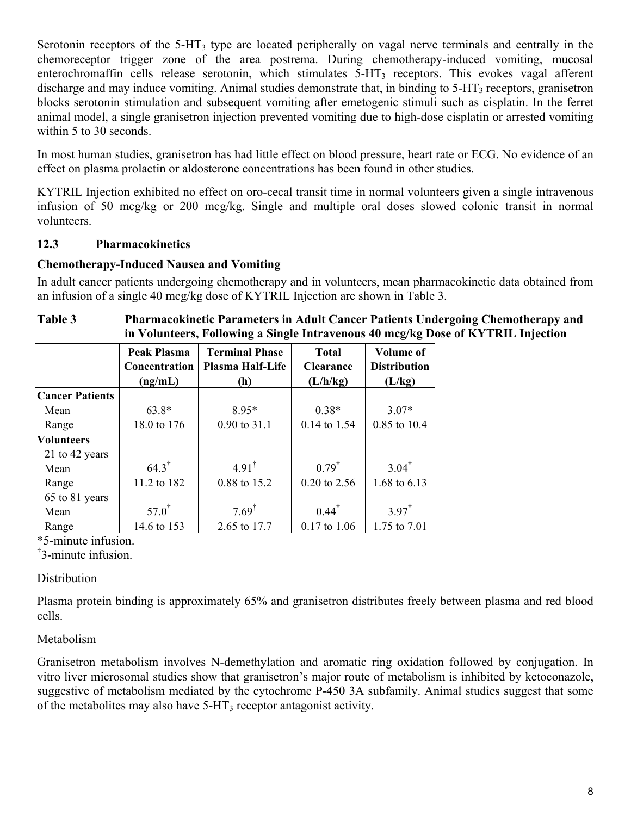Serotonin receptors of the 5-HT<sub>3</sub> type are located peripherally on vagal nerve terminals and centrally in the chemoreceptor trigger zone of the area postrema. During chemotherapy-induced vomiting, mucosal enterochromaffin cells release serotonin, which stimulates 5-HT<sub>3</sub> receptors. This evokes vagal afferent discharge and may induce vomiting. Animal studies demonstrate that, in binding to 5-HT<sub>3</sub> receptors, granisetron blocks serotonin stimulation and subsequent vomiting after emetogenic stimuli such as cisplatin. In the ferret animal model, a single granisetron injection prevented vomiting due to high-dose cisplatin or arrested vomiting within 5 to 30 seconds.

In most human studies, granisetron has had little effect on blood pressure, heart rate or ECG. No evidence of an effect on plasma prolactin or aldosterone concentrations has been found in other studies.

KYTRIL Injection exhibited no effect on oro-cecal transit time in normal volunteers given a single intravenous infusion of 50 mcg/kg or 200 mcg/kg. Single and multiple oral doses slowed colonic transit in normal volunteers.

### **12.3 Pharmacokinetics**

#### **Chemotherapy-Induced Nausea and Vomiting**

In adult cancer patients undergoing chemotherapy and in volunteers, mean pharmacokinetic data obtained from an infusion of a single 40 mcg/kg dose of KYTRIL Injection are shown in Table 3.

#### **Table 3 Pharmacokinetic Parameters in Adult Cancer Patients Undergoing Chemotherapy and in Volunteers, Following a Single Intravenous 40 mcg/kg Dose of KYTRIL Injection**

|                        | <b>Peak Plasma</b><br>Concentration | <b>Terminal Phase</b><br>Plasma Half-Life | <b>Total</b><br><b>Clearance</b> | <b>Volume of</b><br><b>Distribution</b> |
|------------------------|-------------------------------------|-------------------------------------------|----------------------------------|-----------------------------------------|
|                        | (ng/mL)                             | (h)                                       | (L/h/kg)                         | (L/kg)                                  |
| <b>Cancer Patients</b> |                                     |                                           |                                  |                                         |
| Mean                   | $63.8*$                             | 8.95*                                     | $0.38*$                          | $3.07*$                                 |
| Range                  | 18.0 to 176                         | $0.90$ to $31.1$                          | 0.14 to 1.54                     | 0.85 to 10.4                            |
| <b>Volunteers</b>      |                                     |                                           |                                  |                                         |
| 21 to 42 years         |                                     |                                           |                                  |                                         |
| Mean                   | $64.3^{\dagger}$                    | $4.91^{\dagger}$                          | $0.79^{\dagger}$                 | $3.04^{\dagger}$                        |
| Range                  | 11.2 to 182                         | 0.88 to 15.2                              | 0.20 to 2.56                     | 1.68 to 6.13                            |
| 65 to 81 years         |                                     |                                           |                                  |                                         |
| Mean                   | $57.0^{\dagger}$                    | $7.69^{\dagger}$                          | $0.44^{\dagger}$                 | $3.97^{\dagger}$                        |
| Range                  | 14.6 to 153                         | 2.65 to 17.7                              | $0.17$ to $1.06$                 | 1.75 to 7.01                            |

\*5-minute infusion.

† 3-minute infusion.

#### **Distribution**

Plasma protein binding is approximately 65% and granisetron distributes freely between plasma and red blood cells.

### Metabolism

Granisetron metabolism involves N-demethylation and aromatic ring oxidation followed by conjugation. In vitro liver microsomal studies show that granisetron's major route of metabolism is inhibited by ketoconazole, suggestive of metabolism mediated by the cytochrome P-450 3A subfamily. Animal studies suggest that some of the metabolites may also have  $5-HT_3$  receptor antagonist activity.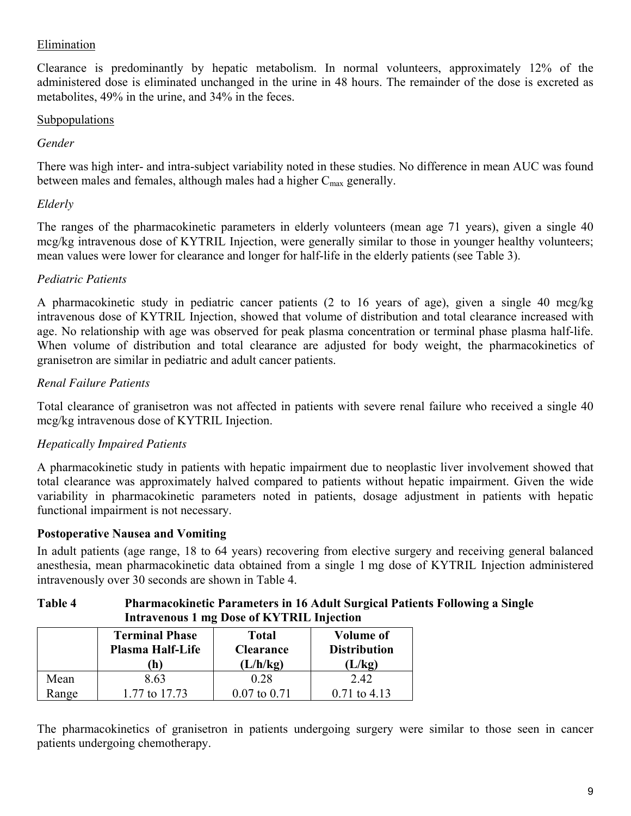### Elimination

Clearance is predominantly by hepatic metabolism. In normal volunteers, approximately 12% of the administered dose is eliminated unchanged in the urine in 48 hours. The remainder of the dose is excreted as metabolites, 49% in the urine, and 34% in the feces.

### **Subpopulations**

### *Gender*

There was high inter- and intra-subject variability noted in these studies. No difference in mean AUC was found between males and females, although males had a higher  $C_{\text{max}}$  generally.

### *Elderly*

The ranges of the pharmacokinetic parameters in elderly volunteers (mean age 71 years), given a single 40 mcg/kg intravenous dose of KYTRIL Injection, were generally similar to those in younger healthy volunteers; mean values were lower for clearance and longer for half-life in the elderly patients (see Table 3).

### *Pediatric Patients*

A pharmacokinetic study in pediatric cancer patients (2 to 16 years of age), given a single 40 mcg/kg intravenous dose of KYTRIL Injection, showed that volume of distribution and total clearance increased with age. No relationship with age was observed for peak plasma concentration or terminal phase plasma half-life. When volume of distribution and total clearance are adjusted for body weight, the pharmacokinetics of granisetron are similar in pediatric and adult cancer patients.

### *Renal Failure Patients*

Total clearance of granisetron was not affected in patients with severe renal failure who received a single 40 mcg/kg intravenous dose of KYTRIL Injection.

### *Hepatically Impaired Patients*

A pharmacokinetic study in patients with hepatic impairment due to neoplastic liver involvement showed that total clearance was approximately halved compared to patients without hepatic impairment. Given the wide variability in pharmacokinetic parameters noted in patients, dosage adjustment in patients with hepatic functional impairment is not necessary.

### **Postoperative Nausea and Vomiting**

In adult patients (age range, 18 to 64 years) recovering from elective surgery and receiving general balanced anesthesia, mean pharmacokinetic data obtained from a single 1 mg dose of KYTRIL Injection administered intravenously over 30 seconds are shown in Table 4.

### **Table 4 Pharmacokinetic Parameters in 16 Adult Surgical Patients Following a Single Intravenous 1 mg Dose of KYTRIL Injection**

|       | <b>Terminal Phase</b><br><b>Plasma Half-Life</b><br>h) | <b>Total</b><br><b>Clearance</b><br>(L/h/kg) | <b>Volume of</b><br><b>Distribution</b><br>(L/kg) |
|-------|--------------------------------------------------------|----------------------------------------------|---------------------------------------------------|
| Mean  | 8.63                                                   | 0.28                                         | 242                                               |
| Range | 1.77 to 17.73                                          | $0.07$ to $0.71$                             | $0.71$ to 4.13                                    |

The pharmacokinetics of granisetron in patients undergoing surgery were similar to those seen in cancer patients undergoing chemotherapy.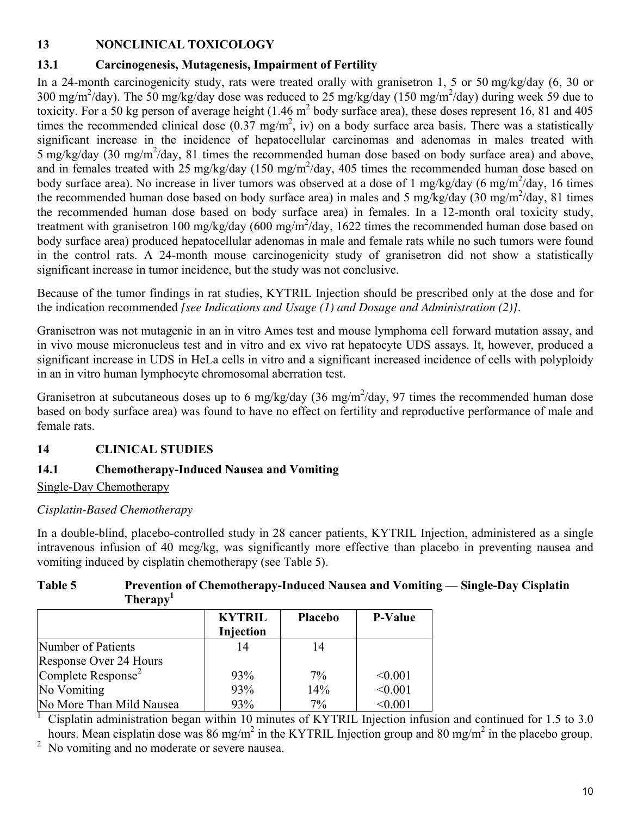# **13 NONCLINICAL TOXICOLOGY**

# **13.1 Carcinogenesis, Mutagenesis, Impairment of Fertility**

In a 24-month carcinogenicity study, rats were treated orally with granisetron 1, 5 or 50 mg/kg/day (6, 30 or 300 mg/m<sup>2</sup>/day). The 50 mg/kg/day dose was reduced to 25 mg/kg/day (150 mg/m<sup>2</sup>/day) during week 59 due to toxicity. For a 50 kg person of average height  $(1.46 \text{ m}^2 \text{ body surface area})$ , these doses represent 16, 81 and 405 times the recommended clinical dose  $(0.37 \text{ mg/m}^2)$ , iv) on a body surface area basis. There was a statistically significant increase in the incidence of hepatocellular carcinomas and adenomas in males treated with  $5 \text{ mg/kg/day}$  (30 mg/m<sup>2</sup>/day, 81 times the recommended human dose based on body surface area) and above, and in females treated with 25 mg/kg/day (150 mg/m<sup>2</sup>/day, 405 times the recommended human dose based on body surface area). No increase in liver tumors was observed at a dose of 1 mg/kg/day (6 mg/m<sup>2</sup>/day, 16 times the recommended human dose based on body surface area) in males and 5 mg/kg/day  $(30 \text{ mg/m}^2/\text{day}, 81 \text{ times})$ the recommended human dose based on body surface area) in females. In a 12-month oral toxicity study, treatment with granisetron 100 mg/kg/day (600 mg/m<sup>2</sup>/day, 1622 times the recommended human dose based on body surface area) produced hepatocellular adenomas in male and female rats while no such tumors were found in the control rats. A 24-month mouse carcinogenicity study of granisetron did not show a statistically significant increase in tumor incidence, but the study was not conclusive.

Because of the tumor findings in rat studies, KYTRIL Injection should be prescribed only at the dose and for the indication recommended *[see Indications and Usage (1) and Dosage and Administration (2)]*.

Granisetron was not mutagenic in an in vitro Ames test and mouse lymphoma cell forward mutation assay, and in vivo mouse micronucleus test and in vitro and ex vivo rat hepatocyte UDS assays. It, however, produced a significant increase in UDS in HeLa cells in vitro and a significant increased incidence of cells with polyploidy in an in vitro human lymphocyte chromosomal aberration test.

Granisetron at subcutaneous doses up to 6 mg/kg/day (36 mg/m<sup>2</sup>/day, 97 times the recommended human dose based on body surface area) was found to have no effect on fertility and reproductive performance of male and female rats.

# **14 CLINICAL STUDIES**

# **14.1 Chemotherapy-Induced Nausea and Vomiting**

Single-Day Chemotherapy

# *Cisplatin-Based Chemotherapy*

In a double-blind, placebo-controlled study in 28 cancer patients, KYTRIL Injection, administered as a single intravenous infusion of 40 mcg/kg, was significantly more effective than placebo in preventing nausea and vomiting induced by cisplatin chemotherapy (see Table 5).

## **Table 5 Prevention of Chemotherapy-Induced Nausea and Vomiting — Single-Day Cisplatin Therapy<sup>1</sup>**

| <b>P-Value</b> | <b>Placebo</b> | <b>KYTRIL</b><br>Injection |                                |
|----------------|----------------|----------------------------|--------------------------------|
|                | 14             |                            | Number of Patients             |
|                |                |                            | Response Over 24 Hours         |
| < 0.001        | $7\%$          | 93%                        | Complete Response <sup>2</sup> |
| < 0.001        | 14%            | 93%                        | No Vomiting                    |
| < 0.001        | $7\%$          | 93%                        | No More Than Mild Nausea       |
|                |                |                            |                                |

<sup>1</sup> Cisplatin administration began within 10 minutes of KYTRIL Injection infusion and continued for 1.5 to 3.0 hours. Mean cisplatin dose was 86 mg/m<sup>2</sup> in the KYTRIL Injection group and 80 mg/m<sup>2</sup> in the placebo group.

No vomiting and no moderate or severe nausea.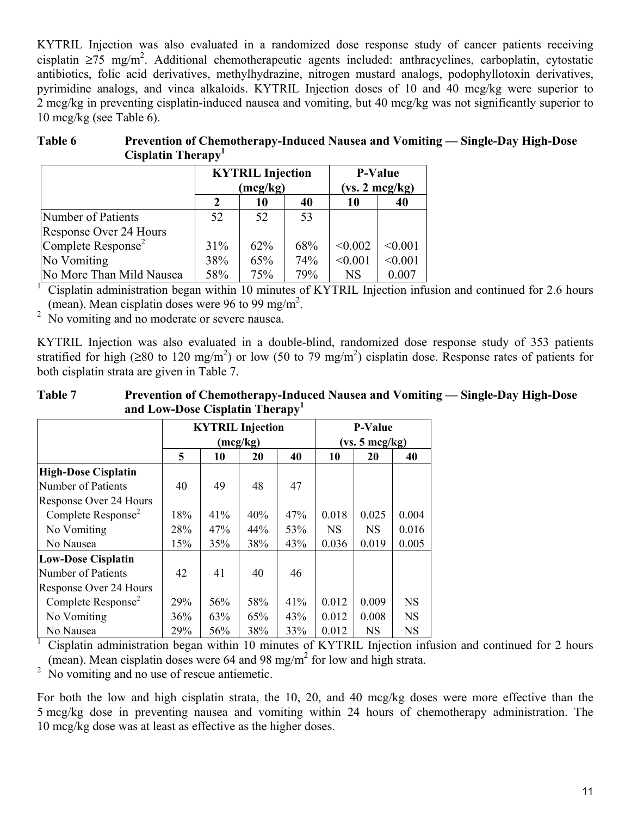KYTRIL Injection was also evaluated in a randomized dose response study of cancer patients receiving cisplatin  $\geq$ 75 mg/m<sup>2</sup>. Additional chemotherapeutic agents included: anthracyclines, carboplatin, cytostatic antibiotics, folic acid derivatives, methylhydrazine, nitrogen mustard analogs, podophyllotoxin derivatives, pyrimidine analogs, and vinca alkaloids. KYTRIL Injection doses of 10 and 40 mcg/kg were superior to 2 mcg/kg in preventing cisplatin-induced nausea and vomiting, but 40 mcg/kg was not significantly superior to 10 mcg/kg (see Table 6).

| Table 6 | Prevention of Chemotherapy-Induced Nausea and Vomiting — Single-Day High-Dose |
|---------|-------------------------------------------------------------------------------|
|         | Cisplatin Therapy <sup>1</sup>                                                |

|                                | <b>KYTRIL Injection</b><br>(mcg/kg) |     |     | <b>P-Value</b><br>$(vs. 2 \text{ mcg/kg})$ |         |  |
|--------------------------------|-------------------------------------|-----|-----|--------------------------------------------|---------|--|
|                                | 2                                   | 10  | 40  | 10                                         | 40      |  |
| Number of Patients             | 52                                  | 52  | 53  |                                            |         |  |
| Response Over 24 Hours         |                                     |     |     |                                            |         |  |
| Complete Response <sup>2</sup> | 31%                                 | 62% | 68% | < 0.002                                    | < 0.001 |  |
| No Vomiting                    | 38%                                 | 65% | 74% | < 0.001                                    | < 0.001 |  |
| No More Than Mild Nausea       | 58%                                 | 75% | 79% | <b>NS</b>                                  | 0.007   |  |

<sup>1</sup> Cisplatin administration began within 10 minutes of KYTRIL Injection infusion and continued for 2.6 hours (mean). Mean cisplatin doses were 96 to 99 mg/m<sup>2</sup>.

<sup>2</sup> No vomiting and no moderate or severe nausea.

KYTRIL Injection was also evaluated in a double-blind, randomized dose response study of 353 patients stratified for high (≥80 to 120 mg/m<sup>2</sup>) or low (50 to 79 mg/m<sup>2</sup>) cisplatin dose. Response rates of patients for both cisplatin strata are given in Table 7.

### **Table 7 Prevention of Chemotherapy-Induced Nausea and Vomiting — Single-Day High-Dose and Low-Dose Cisplatin Therapy<sup>1</sup>**

|                                | <b>KYTRIL Injection</b> |     |          |     | <b>P-Value</b> |           |           |
|--------------------------------|-------------------------|-----|----------|-----|----------------|-----------|-----------|
|                                |                         |     | (mcg/kg) |     | (vs. 5 mg/kg)  |           |           |
|                                | 5                       | 10  | 20       | 40  | 10             | 20        | 40        |
| <b>High-Dose Cisplatin</b>     |                         |     |          |     |                |           |           |
| Number of Patients             | 40                      | 49  | 48       | 47  |                |           |           |
| Response Over 24 Hours         |                         |     |          |     |                |           |           |
| Complete Response <sup>2</sup> | 18%                     | 41% | 40%      | 47% | 0.018          | 0.025     | 0.004     |
| No Vomiting                    | 28%                     | 47% | 44%      | 53% | <b>NS</b>      | <b>NS</b> | 0.016     |
| No Nausea                      | 15%                     | 35% | 38%      | 43% | 0.036          | 0.019     | 0.005     |
| <b>Low-Dose Cisplatin</b>      |                         |     |          |     |                |           |           |
| Number of Patients             | 42                      | 41  | 40       | 46  |                |           |           |
| Response Over 24 Hours         |                         |     |          |     |                |           |           |
| Complete Response <sup>2</sup> | 29%                     | 56% | 58%      | 41% | 0.012          | 0.009     | <b>NS</b> |
| No Vomiting                    | 36%                     | 63% | 65%      | 43% | 0.012          | 0.008     | <b>NS</b> |
| No Nausea                      | 29%                     | 56% | 38%      | 33% | 0.012          | <b>NS</b> | <b>NS</b> |

<sup>1</sup> Cisplatin administration began within 10 minutes of KYTRIL Injection infusion and continued for 2 hours (mean). Mean cisplatin doses were  $64$  and  $98 \text{ mg/m}^2$  for low and high strata.

 $2 \times 2$  No vomiting and no use of rescue antiemetic.

For both the low and high cisplatin strata, the 10, 20, and 40 mcg/kg doses were more effective than the 5 mcg/kg dose in preventing nausea and vomiting within 24 hours of chemotherapy administration. The 10 mcg/kg dose was at least as effective as the higher doses.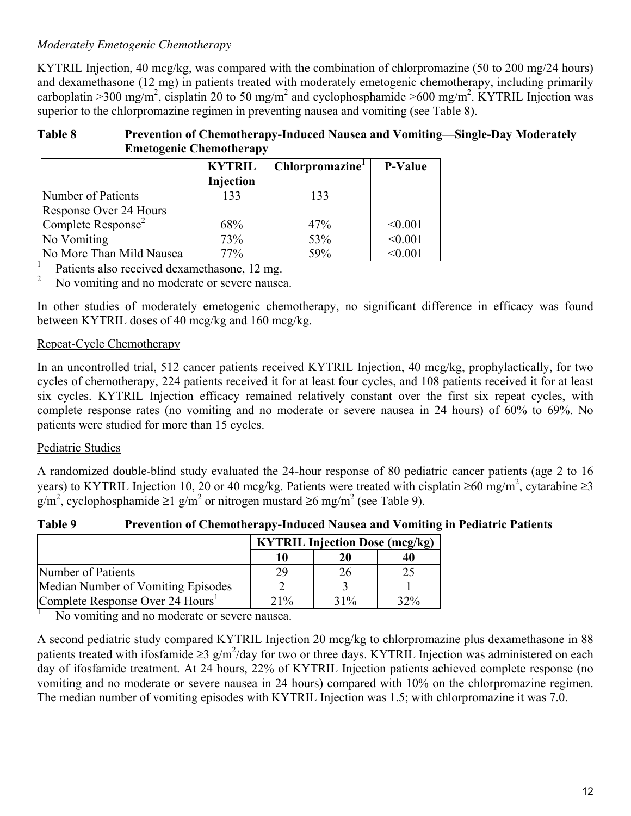## *Moderately Emetogenic Chemotherapy*

KYTRIL Injection, 40 mcg/kg, was compared with the combination of chlorpromazine (50 to 200 mg/24 hours) and dexamethasone (12 mg) in patients treated with moderately emetogenic chemotherapy, including primarily carboplatin >300 mg/m<sup>2</sup>, cisplatin 20 to 50 mg/m<sup>2</sup> and cyclophosphamide >600 mg/m<sup>2</sup>. KYTRIL Injection was superior to the chlorpromazine regimen in preventing nausea and vomiting (see Table 8).

#### **Table 8 Prevention of Chemotherapy-Induced Nausea and Vomiting—Single-Day Moderately Emetogenic Chemotherapy**

|                                | <b>KYTRIL</b> | Chlorpromazine <sup>1</sup> | <b>P-Value</b> |  |  |  |  |
|--------------------------------|---------------|-----------------------------|----------------|--|--|--|--|
|                                | Injection     |                             |                |  |  |  |  |
| Number of Patients             | 133           | 133                         |                |  |  |  |  |
| Response Over 24 Hours         |               |                             |                |  |  |  |  |
| Complete Response <sup>2</sup> | 68%           | 47%                         | < 0.001        |  |  |  |  |
| No Vomiting                    | 73%           | 53%                         | < 0.001        |  |  |  |  |
| No More Than Mild Nausea       | 77%           | 59%                         | < 0.001        |  |  |  |  |

 $\frac{1}{2}$  Patients also received dexamethasone, 12 mg.

No vomiting and no moderate or severe nausea.

In other studies of moderately emetogenic chemotherapy, no significant difference in efficacy was found between KYTRIL doses of 40 mcg/kg and 160 mcg/kg.

## Repeat-Cycle Chemotherapy

In an uncontrolled trial, 512 cancer patients received KYTRIL Injection, 40 mcg/kg, prophylactically, for two cycles of chemotherapy, 224 patients received it for at least four cycles, and 108 patients received it for at least six cycles. KYTRIL Injection efficacy remained relatively constant over the first six repeat cycles, with complete response rates (no vomiting and no moderate or severe nausea in 24 hours) of 60% to 69%. No patients were studied for more than 15 cycles.

## Pediatric Studies

A randomized double-blind study evaluated the 24-hour response of 80 pediatric cancer patients (age 2 to 16 years) to KYTRIL Injection 10, 20 or 40 mcg/kg. Patients were treated with cisplatin ≥60 mg/m<sup>2</sup>, cytarabine ≥3 g/m<sup>2</sup>, cyclophosphamide ≥1 g/m<sup>2</sup> or nitrogen mustard ≥6 mg/m<sup>2</sup> (see Table 9).

### **Table 9 Prevention of Chemotherapy-Induced Nausea and Vomiting in Pediatric Patients**

|                                              | <b>KYTRIL Injection Dose (mcg/kg)</b> |     |     |
|----------------------------------------------|---------------------------------------|-----|-----|
|                                              |                                       | 20  | 40  |
| Number of Patients                           | 29                                    | 26  | 25  |
| Median Number of Vomiting Episodes           |                                       |     |     |
| Complete Response Over 24 Hours <sup>1</sup> | $21\%$                                | 31% | 32% |

<sup>1</sup> No vomiting and no moderate or severe nausea.

A second pediatric study compared KYTRIL Injection 20 mcg/kg to chlorpromazine plus dexamethasone in 88 patients treated with ifosfamide  $\geq 3$  g/m<sup>2</sup>/day for two or three days. KYTRIL Injection was administered on each day of ifosfamide treatment. At 24 hours, 22% of KYTRIL Injection patients achieved complete response (no vomiting and no moderate or severe nausea in 24 hours) compared with 10% on the chlorpromazine regimen. The median number of vomiting episodes with KYTRIL Injection was 1.5; with chlorpromazine it was 7.0.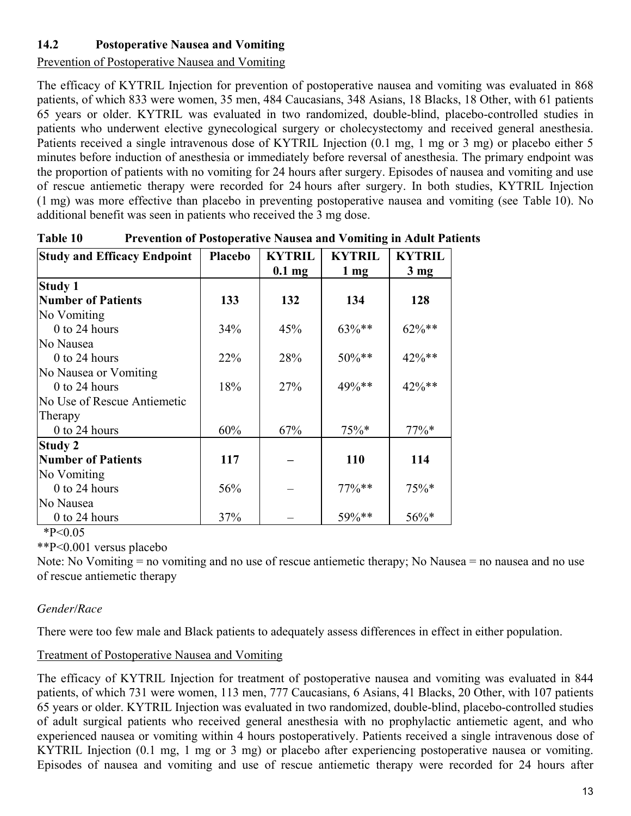## **14.2 Postoperative Nausea and Vomiting**

Prevention of Postoperative Nausea and Vomiting

The efficacy of KYTRIL Injection for prevention of postoperative nausea and vomiting was evaluated in 868 patients, of which 833 were women, 35 men, 484 Caucasians, 348 Asians, 18 Blacks, 18 Other, with 61 patients 65 years or older. KYTRIL was evaluated in two randomized, double-blind, placebo-controlled studies in patients who underwent elective gynecological surgery or cholecystectomy and received general anesthesia. Patients received a single intravenous dose of KYTRIL Injection (0.1 mg, 1 mg or 3 mg) or placebo either 5 minutes before induction of anesthesia or immediately before reversal of anesthesia. The primary endpoint was the proportion of patients with no vomiting for 24 hours after surgery. Episodes of nausea and vomiting and use of rescue antiemetic therapy were recorded for 24 hours after surgery. In both studies, KYTRIL Injection (1 mg) was more effective than placebo in preventing postoperative nausea and vomiting (see Table 10). No additional benefit was seen in patients who received the 3 mg dose.

| <b>Study and Efficacy Endpoint</b> | Placebo | <b>KYTRIL</b> | <b>KYTRIL</b>  | <b>KYTRIL</b>  |
|------------------------------------|---------|---------------|----------------|----------------|
|                                    |         | $0.1$ mg      | $1 \text{ mg}$ | $3 \text{ mg}$ |
| <b>Study 1</b>                     |         |               |                |                |
| <b>Number of Patients</b>          | 133     | 132           | 134            | 128            |
| No Vomiting                        |         |               |                |                |
| $0$ to 24 hours                    | 34%     | 45%           | $63\%**$       | $62\%**$       |
| No Nausea                          |         |               |                |                |
| $0$ to 24 hours                    | 22%     | 28%           | 50%**          | 42%**          |
| No Nausea or Vomiting              |         |               |                |                |
| $0$ to 24 hours                    | 18%     | 27%           | 49%**          | 42%**          |
| No Use of Rescue Antiemetic        |         |               |                |                |
| Therapy                            |         |               |                |                |
| 0 to 24 hours                      | 60%     | 67%           | $75\%*$        | $77\%*$        |
| Study 2                            |         |               |                |                |
| <b>Number of Patients</b>          | 117     |               | 110            | 114            |
| No Vomiting                        |         |               |                |                |
| 0 to 24 hours                      | 56%     |               | $77\%$ **      | $75\%*$        |
| No Nausea                          |         |               |                |                |
| $0$ to 24 hours                    | 37%     |               | 59%**          | $56\%*$        |

| Table 10 | <b>Prevention of Postoperative Nausea and Vomiting in Adult Patients</b> |  |
|----------|--------------------------------------------------------------------------|--|
|----------|--------------------------------------------------------------------------|--|

 $*P<0.05$ 

\*\*P<0.001 versus placebo

Note: No Vomiting = no vomiting and no use of rescue antiemetic therapy; No Nausea = no nausea and no use of rescue antiemetic therapy

## *Gender/Race*

There were too few male and Black patients to adequately assess differences in effect in either population.

### Treatment of Postoperative Nausea and Vomiting

The efficacy of KYTRIL Injection for treatment of postoperative nausea and vomiting was evaluated in 844 patients, of which 731 were women, 113 men, 777 Caucasians, 6 Asians, 41 Blacks, 20 Other, with 107 patients 65 years or older. KYTRIL Injection was evaluated in two randomized, double-blind, placebo-controlled studies of adult surgical patients who received general anesthesia with no prophylactic antiemetic agent, and who experienced nausea or vomiting within 4 hours postoperatively. Patients received a single intravenous dose of KYTRIL Injection (0.1 mg, 1 mg or 3 mg) or placebo after experiencing postoperative nausea or vomiting. Episodes of nausea and vomiting and use of rescue antiemetic therapy were recorded for 24 hours after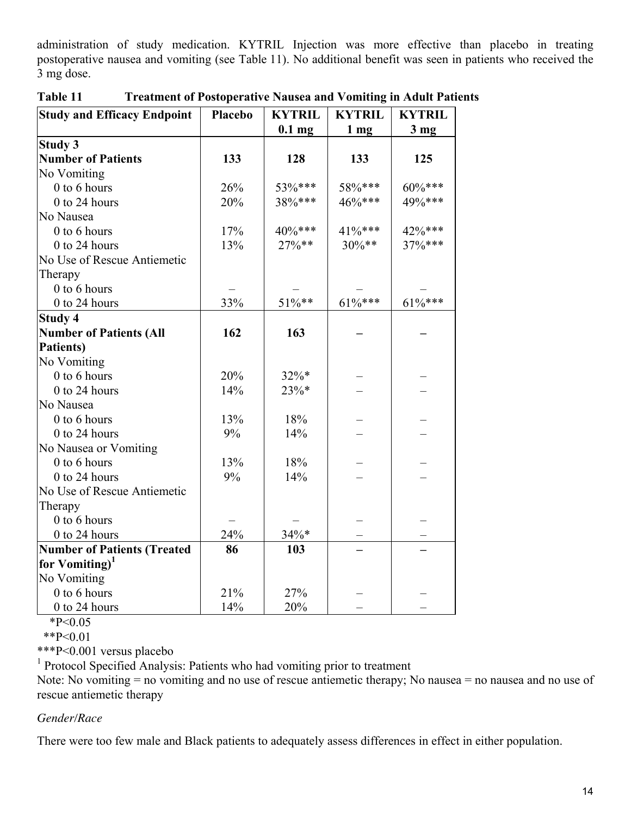administration of study medication. KYTRIL Injection was more effective than placebo in treating postoperative nausea and vomiting (see Table 11). No additional benefit was seen in patients who received the 3 mg dose.

| <b>Study and Efficacy Endpoint</b> | Placebo | <b>KYTRIL</b> | <b>KYTRIL</b>   | <b>KYTRIL</b>   |
|------------------------------------|---------|---------------|-----------------|-----------------|
|                                    |         | $0.1$ mg      | 1 <sub>mg</sub> | 3 <sub>mg</sub> |
| <b>Study 3</b>                     |         |               |                 |                 |
| <b>Number of Patients</b>          | 133     | 128           | 133             | 125             |
| No Vomiting                        |         |               |                 |                 |
| 0 to 6 hours                       | 26%     | 53%***        | 58%***          | $60\%***$       |
| 0 to 24 hours                      | 20%     | 38%***        | 46%***          | 49%***          |
| No Nausea                          |         |               |                 |                 |
| 0 to 6 hours                       | 17%     | 40%***        | 41%***          | 42%***          |
| 0 to 24 hours                      | 13%     | $27\%**$      | $30\%**$        | 37%***          |
| No Use of Rescue Antiemetic        |         |               |                 |                 |
| Therapy                            |         |               |                 |                 |
| 0 to 6 hours                       |         |               |                 |                 |
| 0 to 24 hours                      | 33%     | $51\%**$      | $61\%***$       | $61\%***$       |
| <b>Study 4</b>                     |         |               |                 |                 |
| <b>Number of Patients (All</b>     | 162     | 163           |                 |                 |
| Patients)                          |         |               |                 |                 |
| No Vomiting                        |         |               |                 |                 |
| 0 to 6 hours                       | 20%     | 32%*          |                 |                 |
| 0 to 24 hours                      | 14%     | 23%*          |                 |                 |
| No Nausea                          |         |               |                 |                 |
| 0 to 6 hours                       | 13%     | 18%           |                 |                 |
| 0 to 24 hours                      | 9%      | 14%           |                 |                 |
| No Nausea or Vomiting              |         |               |                 |                 |
| 0 to 6 hours                       | 13%     | 18%           |                 |                 |
| $0$ to 24 hours                    | 9%      | 14%           |                 |                 |
| No Use of Rescue Antiemetic        |         |               |                 |                 |
| Therapy                            |         |               |                 |                 |
| 0 to 6 hours                       |         |               |                 |                 |
| 0 to 24 hours                      | 24%     | 34%*          |                 |                 |
| <b>Number of Patients (Treated</b> | 86      | 103           |                 |                 |
| for Vomiting) <sup>1</sup>         |         |               |                 |                 |
| No Vomiting                        |         |               |                 |                 |
| 0 to 6 hours                       | 21%     | 27%           |                 |                 |
| 0 to 24 hours                      | 14%     | 20%           |                 |                 |

**Table 11 Treatment of Postoperative Nausea and Vomiting in Adult Patients** 

 $*P<0.05$ 

\*\*P<0.01

\*\*\*P<0.001 versus placebo

<sup>1</sup> Protocol Specified Analysis: Patients who had vomiting prior to treatment

Note: No vomiting = no vomiting and no use of rescue antiemetic therapy; No nausea = no nausea and no use of rescue antiemetic therapy

#### *Gender/Race*

There were too few male and Black patients to adequately assess differences in effect in either population.